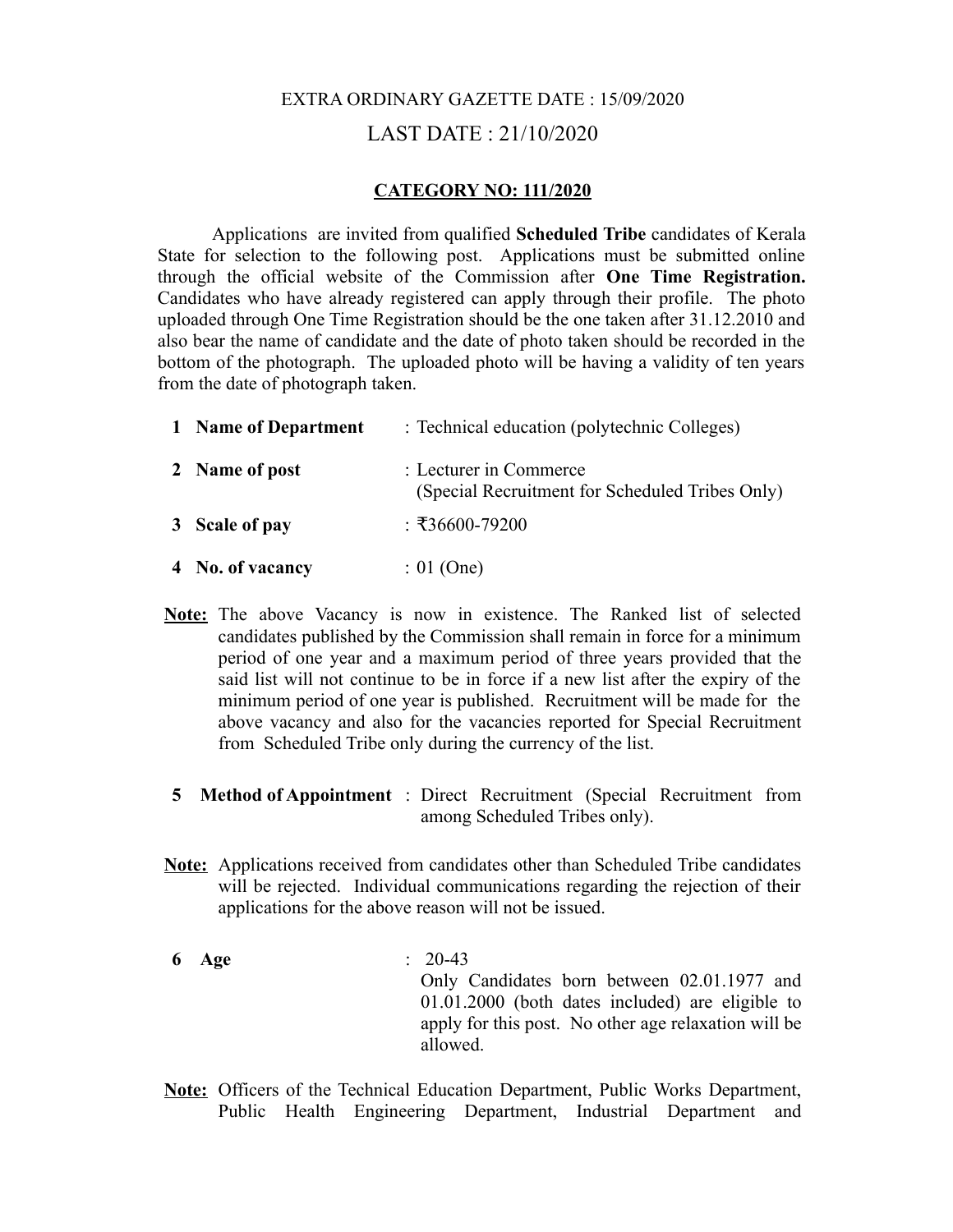## EXTRA ORDINARY GAZETTE DATE : 15/09/2020 LAST DATE : 21/10/2020

## **CATEGORY NO: 111/2020**

Applications are invited from qualified **Scheduled Tribe** candidates of Kerala State for selection to the following post. Applications must be submitted online through the official website of the Commission after **One Time Registration.** Candidates who have already registered can apply through their profile. The photo uploaded through One Time Registration should be the one taken after 31.12.2010 and also bear the name of candidate and the date of photo taken should be recorded in the bottom of the photograph. The uploaded photo will be having a validity of ten years from the date of photograph taken.

| 1 Name of Department | : Technical education (polytechnic Colleges)                              |
|----------------------|---------------------------------------------------------------------------|
| 2 Name of post       | : Lecturer in Commerce<br>(Special Recruitment for Scheduled Tribes Only) |
| 3 Scale of pay       | : ₹36600-79200                                                            |
| 4 No. of vacancy     | $: 01$ (One)                                                              |

- **Note:** The above Vacancy is now in existence. The Ranked list of selected candidates published by the Commission shall remain in force for a minimum period of one year and a maximum period of three years provided that the said list will not continue to be in force if a new list after the expiry of the minimum period of one year is published. Recruitment will be made for the above vacancy and also for the vacancies reported for Special Recruitment from Scheduled Tribe only during the currency of the list.
- **5 Method of Appointment** : Direct Recruitment (Special Recruitment from among Scheduled Tribes only).
- **Note:** Applications received from candidates other than Scheduled Tribe candidates will be rejected. Individual communications regarding the rejection of their applications for the above reason will not be issued.
- **6 Age** : 20-43 Only Candidates born between 02.01.1977 and 01.01.2000 (both dates included) are eligible to apply for this post. No other age relaxation will be allowed.
- **Note:** Officers of the Technical Education Department, Public Works Department, Public Health Engineering Department, Industrial Department and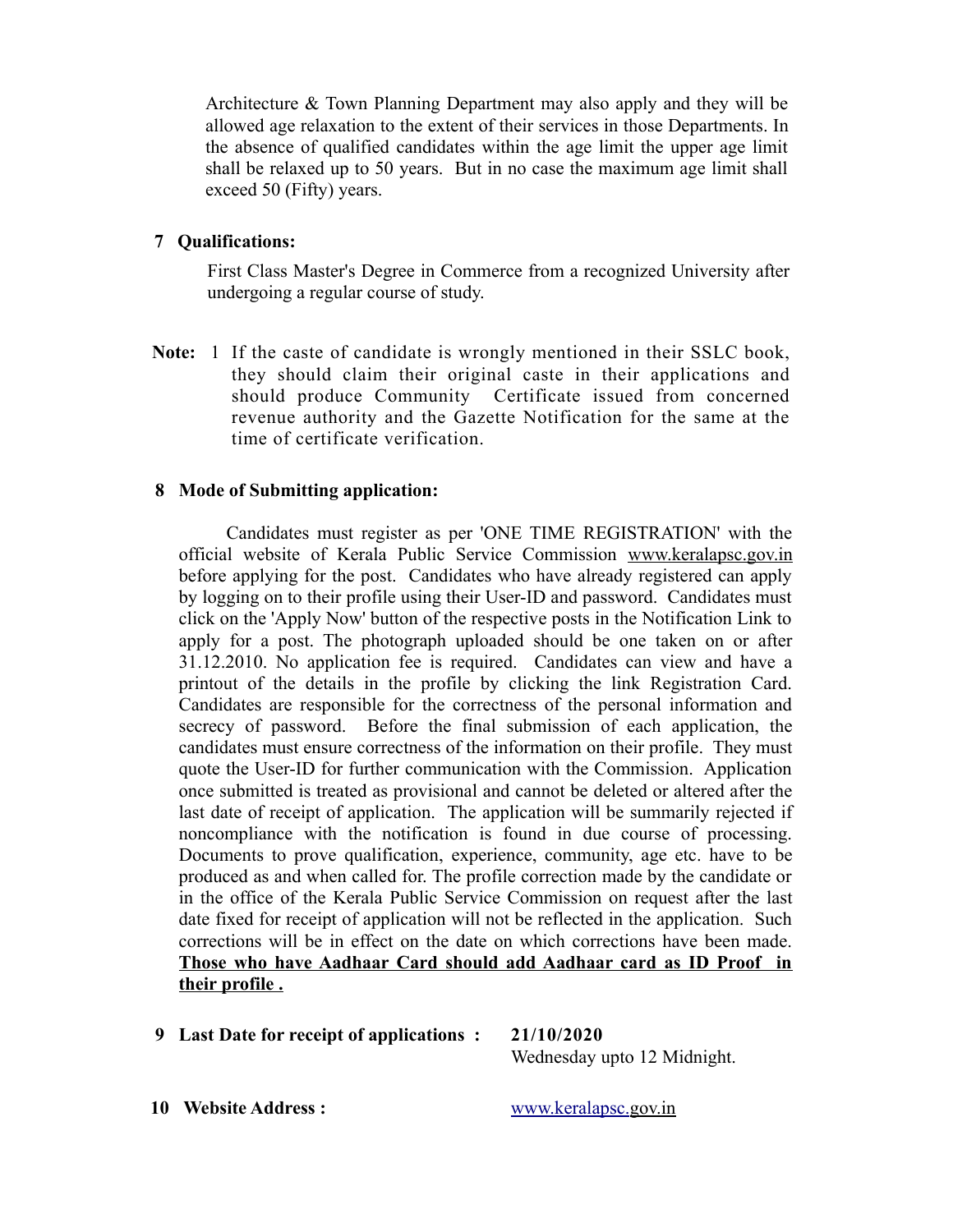Architecture & Town Planning Department may also apply and they will be allowed age relaxation to the extent of their services in those Departments. In the absence of qualified candidates within the age limit the upper age limit shall be relaxed up to 50 years. But in no case the maximum age limit shall exceed 50 (Fifty) years.

## **7 Qualifications:**

First Class Master's Degree in Commerce from a recognized University after undergoing a regular course of study.

**Note:** 1 If the caste of candidate is wrongly mentioned in their SSLC book, they should claim their original caste in their applications and should produce Community Certificate issued from concerned revenue authority and the Gazette Notification for the same at the time of certificate verification.

## **8 Mode of Submitting application:**

 Candidates must register as per 'ONE TIME REGISTRATION' with the official website of Kerala Public Service Commission [www.keralapsc.gov.in](http://www.keralapsc.gov.in/) before applying for the post. Candidates who have already registered can apply by logging on to their profile using their User-ID and password. Candidates must click on the 'Apply Now' button of the respective posts in the Notification Link to apply for a post. The photograph uploaded should be one taken on or after 31.12.2010. No application fee is required. Candidates can view and have a printout of the details in the profile by clicking the link Registration Card. Candidates are responsible for the correctness of the personal information and secrecy of password. Before the final submission of each application, the candidates must ensure correctness of the information on their profile. They must quote the User-ID for further communication with the Commission. Application once submitted is treated as provisional and cannot be deleted or altered after the last date of receipt of application. The application will be summarily rejected if noncompliance with the notification is found in due course of processing. Documents to prove qualification, experience, community, age etc. have to be produced as and when called for. The profile correction made by the candidate or in the office of the Kerala Public Service Commission on request after the last date fixed for receipt of application will not be reflected in the application. Such corrections will be in effect on the date on which corrections have been made. **Those who have Aadhaar Card should add Aadhaar card as ID Proof in their profile .**

**9 Last Date for receipt of applications : 21/10/2020**

Wednesday upto 12 Midnight.

**10 Website Address :** [www.keralapsc.g](http://www.keralapsc.org/)ov.in